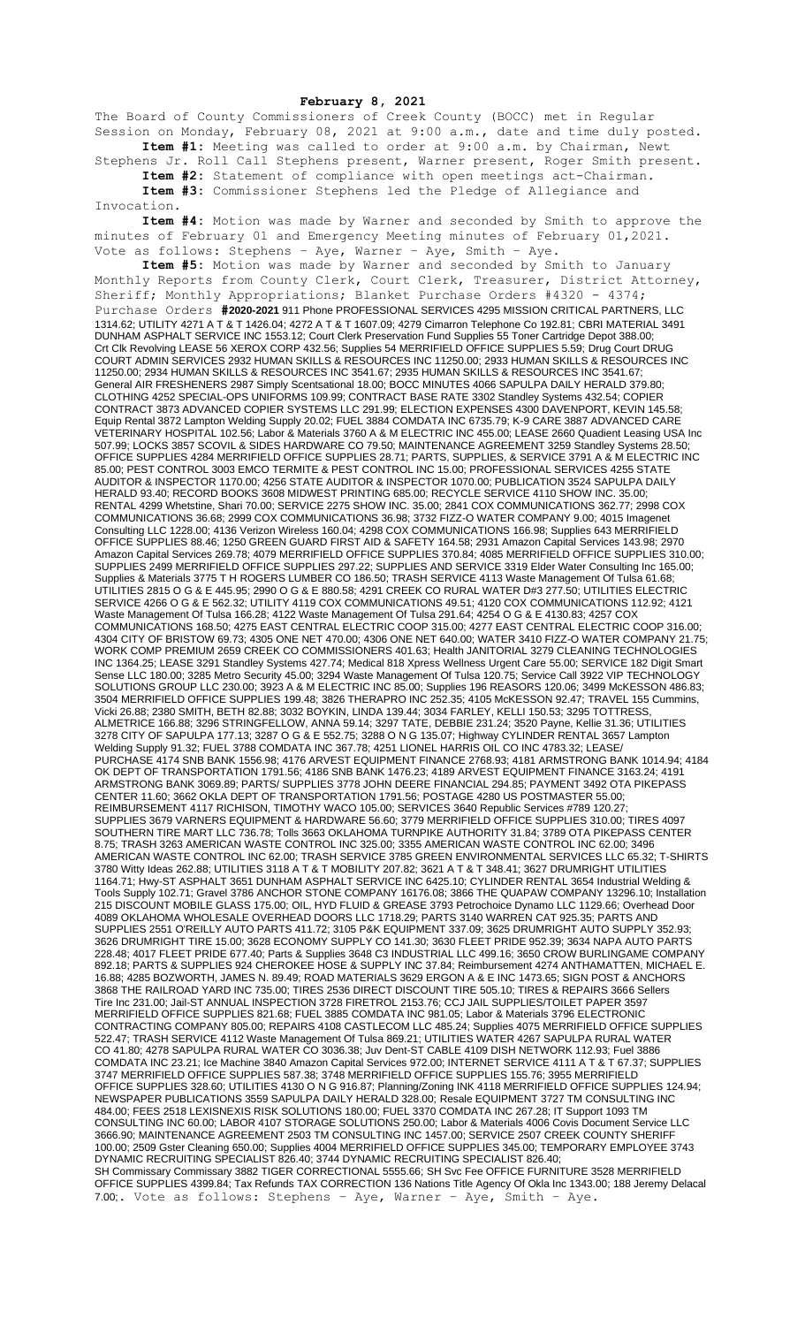## **February 8, 2021**

The Board of County Commissioners of Creek County (BOCC) met in Regular Session on Monday, February 08, 2021 at 9:00 a.m., date and time duly posted. **Item #1:** Meeting was called to order at 9:00 a.m. by Chairman, Newt

Stephens Jr. Roll Call Stephens present, Warner present, Roger Smith present. **Item #2:** Statement of compliance with open meetings act-Chairman. **Item #3:** Commissioner Stephens led the Pledge of Allegiance and

Invocation.

**Item #4:** Motion was made by Warner and seconded by Smith to approve the minutes of February 01 and Emergency Meeting minutes of February 01,2021. Vote as follows: Stephens – Aye, Warner – Aye, Smith – Aye.

**Item #5:** Motion was made by Warner and seconded by Smith to January Monthly Reports from County Clerk, Court Clerk, Treasurer, District Attorney, Sheriff; Monthly Appropriations; Blanket Purchase Orders #4320 - 4374; Purchase Orders **#2020-2021** 911 Phone PROFESSIONAL SERVICES 4295 MISSION CRITICAL PARTNERS, LLC 1314.62; UTILITY 4271 A T & T 1426.04; 4272 A T & T 1607.09; 4279 Cimarron Telephone Co 192.81; CBRI MATERIAL 3491 DUNHAM ASPHALT SERVICE INC 1553.12; Court Clerk Preservation Fund Supplies 55 Toner Cartridge Depot 388.00; Crt Clk Revolving LEASE 56 XEROX CORP 432.56; Supplies 54 MERRIFIELD OFFICE SUPPLIES 5.59; Drug Court DRUG COURT ADMIN SERVICES 2932 HUMAN SKILLS & RESOURCES INC 11250.00; 2933 HUMAN SKILLS & RESOURCES INC 11250.00; 2934 HUMAN SKILLS & RESOURCES INC 3541.67; 2935 HUMAN SKILLS & RESOURCES INC 3541.67; General AIR FRESHENERS 2987 Simply Scentsational 18.00; BOCC MINUTES 4066 SAPULPA DAILY HERALD 379.80; CLOTHING 4252 SPECIAL-OPS UNIFORMS 109.99; CONTRACT BASE RATE 3302 Standley Systems 432.54; COPIER CONTRACT 3873 ADVANCED COPIER SYSTEMS LLC 291.99; ELECTION EXPENSES 4300 DAVENPORT, KEVIN 145.58; Equip Rental 3872 Lampton Welding Supply 20.02; FUEL 3884 COMDATA INC 6735.79; K-9 CARE 3887 ADVANCED CARE VETERINARY HOSPITAL 102.56; Labor & Materials 3760 A & M ELECTRIC INC 455.00; LEASE 2660 Quadient Leasing USA Inc 507.99; LOCKS 3857 SCOVIL & SIDES HARDWARE CO 79.50; MAINTENANCE AGREEMENT 3259 Standley Systems 28.50; OFFICE SUPPLIES 4284 MERRIFIELD OFFICE SUPPLIES 28.71; PARTS, SUPPLIES, & SERVICE 3791 A & M ELECTRIC INC 85.00; PEST CONTROL 3003 EMCO TERMITE & PEST CONTROL INC 15.00; PROFESSIONAL SERVICES 4255 STATE AUDITOR & INSPECTOR 1170.00; 4256 STATE AUDITOR & INSPECTOR 1070.00; PUBLICATION 3524 SAPULPA DAILY HERALD 93.40; RECORD BOOKS 3608 MIDWEST PRINTING 685.00; RECYCLE SERVICE 4110 SHOW INC. 35.00; RENTAL 4299 Whetstine, Shari 70.00; SERVICE 2275 SHOW INC. 35.00; 2841 COX COMMUNICATIONS 362.77; 2998 COX COMMUNICATIONS 36.68; 2999 COX COMMUNICATIONS 36.98; 3732 FIZZ-O WATER COMPANY 9.00; 4015 Imagenet Consulting LLC 1228.00; 4136 Verizon Wireless 160.04; 4298 COX COMMUNICATIONS 166.98; Supplies 643 MERRIFIELD OFFICE SUPPLIES 88.46; 1250 GREEN GUARD FIRST AID & SAFETY 164.58; 2931 Amazon Capital Services 143.98; 2970 Amazon Capital Services 269.78; 4079 MERRIFIELD OFFICE SUPPLIES 370.84; 4085 MERRIFIELD OFFICE SUPPLIES 310.00; SUPPLIES 2499 MERRIFIELD OFFICE SUPPLIES 297.22; SUPPLIES AND SERVICE 3319 Elder Water Consulting Inc 165.00; Supplies & Materials 3775 T H ROGERS LUMBER CO 186.50; TRASH SERVICE 4113 Waste Management Of Tulsa 61.68; UTILITIES 2815 O G & E 445.95; 2990 O G & E 880.58; 4291 CREEK CO RURAL WATER D#3 277.50; UTILITIES ELECTRIC SERVICE 4266 O G & E 562.32; UTILITY 4119 COX COMMUNICATIONS 49.51; 4120 COX COMMUNICATIONS 112.92; 4121 Waste Management Of Tulsa 166.28; 4122 Waste Management Of Tulsa 291.64; 4254 O G & E 4130.83; 4257 COX COMMUNICATIONS 168.50; 4275 EAST CENTRAL ELECTRIC COOP 315.00; 4277 EAST CENTRAL ELECTRIC COOP 316.00; 4304 CITY OF BRISTOW 69.73; 4305 ONE NET 470.00; 4306 ONE NET 640.00; WATER 3410 FIZZ-O WATER COMPANY 21.75; WORK COMP PREMIUM 2659 CREEK CO COMMISSIONERS 401.63; Health JANITORIAL 3279 CLEANING TECHNOLOGIES INC 1364.25; LEASE 3291 Standley Systems 427.74; Medical 818 Xpress Wellness Urgent Care 55.00; SERVICE 182 Digit Smart Sense LLC 180.00; 3285 Metro Security 45.00; 3294 Waste Management Of Tulsa 120.75; Service Call 3922 VIP TECHNOLOGY SOLUTIONS GROUP LLC 230.00; 3923 A & M ELECTRIC INC 85.00; Supplies 196 REASORS 120.06; 3499 McKESSON 486.83; 3504 MERRIFIELD OFFICE SUPPLIES 199.48; 3826 THERAPRO INC 252.35; 4105 McKESSON 92.47; TRAVEL 155 Cummins, Vicki 26.88; 2380 SMITH, BETH 82.88; 3032 BOYKIN, LINDA 139.44; 3034 FARLEY, KELLI 150.53; 3295 TOTTRESS, ALMETRICE 166.88; 3296 STRINGFELLOW, ANNA 59.14; 3297 TATE, DEBBIE 231.24; 3520 Payne, Kellie 31.36; UTILITIES 3278 CITY OF SAPULPA 177.13; 3287 O G & E 552.75; 3288 O N G 135.07; Highway CYLINDER RENTAL 3657 Lampton Welding Supply 91.32; FUEL 3788 COMDATA INC 367.78; 4251 LIONEL HARRIS OIL CO INC 4783.32; LEASE/ PURCHASE 4174 SNB BANK 1556.98; 4176 ARVEST EQUIPMENT FINANCE 2768.93; 4181 ARMSTRONG BANK 1014.94; 4184 OK DEPT OF TRANSPORTATION 1791.56; 4186 SNB BANK 1476.23; 4189 ARVEST EQUIPMENT FINANCE 3163.24; 4191 ARMSTRONG BANK 3069.89; PARTS/ SUPPLIES 3778 JOHN DEERE FINANCIAL 294.85; PAYMENT 3492 OTA PIKEPASS CENTER 11.60; 3662 OKLA DEPT OF TRANSPORTATION 1791.56; POSTAGE 4280 US POSTMASTER 55.00; REIMBURSEMENT 4117 RICHISON, TIMOTHY WACO 105.00; SERVICES 3640 Republic Services #789 120.27; SUPPLIES 3679 VARNERS EQUIPMENT & HARDWARE 56.60; 3779 MERRIFIELD OFFICE SUPPLIES 310.00; TIRES 4097 SOUTHERN TIRE MART LLC 736.78; Tolls 3663 OKLAHOMA TURNPIKE AUTHORITY 31.84; 3789 OTA PIKEPASS CENTER 8.75; TRASH 3263 AMERICAN WASTE CONTROL INC 325.00; 3355 AMERICAN WASTE CONTROL INC 62.00; 3496 AMERICAN WASTE CONTROL INC 62.00; TRASH SERVICE 3785 GREEN ENVIRONMENTAL SERVICES LLC 65.32; T-SHIRTS 3780 Witty Ideas 262.88; UTILITIES 3118 A T & T MOBILITY 207.82; 3621 A T & T 348.41; 3627 DRUMRIGHT UTILITIES 1164.71; Hwy-ST ASPHALT 3651 DUNHAM ASPHALT SERVICE INC 6425.10; CYLINDER RENTAL 3654 Industrial Welding & Tools Supply 102.71; Gravel 3786 ANCHOR STONE COMPANY 16176.08; 3866 THE QUAPAW COMPANY 13296.10; Installation 215 DISCOUNT MOBILE GLASS 175.00; OIL, HYD FLUID & GREASE 3793 Petrochoice Dynamo LLC 1129.66; Overhead Door 4089 OKLAHOMA WHOLESALE OVERHEAD DOORS LLC 1718.29; PARTS 3140 WARREN CAT 925.35; PARTS AND SUPPLIES 2551 O'REILLY AUTO PARTS 411.72; 3105 P&K EQUIPMENT 337.09; 3625 DRUMRIGHT AUTO SUPPLY 352.93; 3626 DRUMRIGHT TIRE 15.00; 3628 ECONOMY SUPPLY CO 141.30; 3630 FLEET PRIDE 952.39; 3634 NAPA AUTO PARTS 228.48; 4017 FLEET PRIDE 677.40; Parts & Supplies 3648 C3 INDUSTRIAL LLC 499.16; 3650 CROW BURLINGAME COMPANY 892.18; PARTS & SUPPLIES 924 CHEROKEE HOSE & SUPPLY INC 37.84; Reimbursement 4274 ANTHAMATTEN, MICHAEL E. 16.88; 4285 BOZWORTH, JAMES N. 89.49; ROAD MATERIALS 3629 ERGON A & E INC 1473.65; SIGN POST & ANCHORS 3868 THE RAILROAD YARD INC 735.00; TIRES 2536 DIRECT DISCOUNT TIRE 505.10; TIRES & REPAIRS 3666 Sellers Tire Inc 231.00; Jail-ST ANNUAL INSPECTION 3728 FIRETROL 2153.76; CCJ JAIL SUPPLIES/TOILET PAPER 3597 MERRIFIELD OFFICE SUPPLIES 821.68; FUEL 3885 COMDATA INC 981.05; Labor & Materials 3796 ELECTRONIC CONTRACTING COMPANY 805.00; REPAIRS 4108 CASTLECOM LLC 485.24; Supplies 4075 MERRIFIELD OFFICE SUPPLIES 522.47; TRASH SERVICE 4112 Waste Management Of Tulsa 869.21; UTILITIES WATER 4267 SAPULPA RURAL WATER CO 41.80; 4278 SAPULPA RURAL WATER CO 3036.38; Juv Dent-ST CABLE 4109 DISH NETWORK 112.93; Fuel 3886 COMDATA INC 23.21; Ice Machine 3840 Amazon Capital Services 972.00; INTERNET SERVICE 4111 A T & T 67.37; SUPPLIES 3747 MERRIFIELD OFFICE SUPPLIES 587.38; 3748 MERRIFIELD OFFICE SUPPLIES 155.76; 3955 MERRIFIELD OFFICE SUPPLIES 328.60; UTILITIES 4130 O N G 916.87; Planning/Zoning INK 4118 MERRIFIELD OFFICE SUPPLIES 124.94; NEWSPAPER PUBLICATIONS 3559 SAPULPA DAILY HERALD 328.00; Resale EQUIPMENT 3727 TM CONSULTING INC 484.00; FEES 2518 LEXISNEXIS RISK SOLUTIONS 180.00; FUEL 3370 COMDATA INC 267.28; IT Support 1093 TM CONSULTING INC 60.00; LABOR 4107 STORAGE SOLUTIONS 250.00; Labor & Materials 4006 Covis Document Service LLC 3666.90; MAINTENANCE AGREEMENT 2503 TM CONSULTING INC 1457.00; SERVICE 2507 CREEK COUNTY SHERIFF 100.00; 2509 Gster Cleaning 650.00; Supplies 4004 MERRIFIELD OFFICE SUPPLIES 345.00; TEMPORARY EMPLOYEE 3743 DYNAMIC RECRUITING SPECIALIST 826.40; 3744 DYNAMIC RECRUITING SPECIALIST 826.40; SH Commissary Commissary 3882 TIGER CORRECTIONAL 5555.66; SH Svc Fee OFFICE FURNITURE 3528 MERRIFIELD OFFICE SUPPLIES 4399.84; Tax Refunds TAX CORRECTION 136 Nations Title Agency Of Okla Inc 1343.00; 188 Jeremy Delacal 7.00;. Vote as follows: Stephens – Aye, Warner – Aye, Smith – Aye.